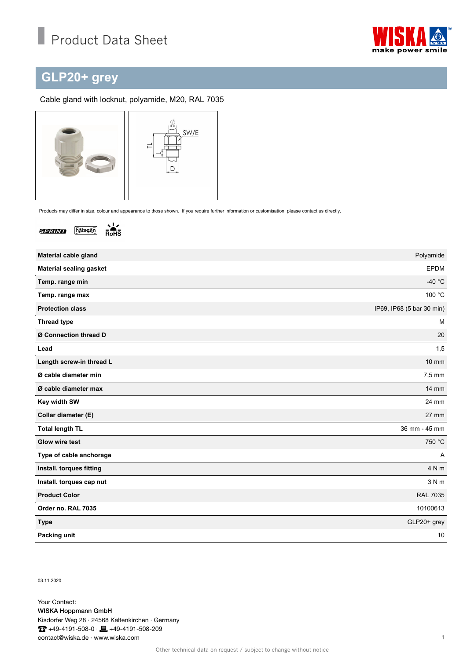

## **GLP20+ grey**

## Cable gland with locknut, polyamide, M20, RAL 7035



Products may differ in size, colour and appearance to those shown. If you require further information or customisation, please contact us directly.



 $\frac{1}{R_0H_0}$ 

| Material cable gland           | Polyamide                 |
|--------------------------------|---------------------------|
| <b>Material sealing gasket</b> | <b>EPDM</b>               |
| Temp. range min                | $-40 °C$                  |
| Temp. range max                | 100 °C                    |
| <b>Protection class</b>        | IP69, IP68 (5 bar 30 min) |
| <b>Thread type</b>             | M                         |
| Ø Connection thread D          | 20                        |
| Lead                           | 1,5                       |
| Length screw-in thread L       | $10 \text{ mm}$           |
| Ø cable diameter min           | 7,5 mm                    |
| Ø cable diameter max           | <b>14 mm</b>              |
| Key width SW                   | 24 mm                     |
| Collar diameter (E)            | $27$ mm                   |
| <b>Total length TL</b>         | 36 mm - 45 mm             |
| <b>Glow wire test</b>          | 750 °C                    |
| Type of cable anchorage        | Α                         |
| Install. torques fitting       | 4 N m                     |
| Install. torques cap nut       | 3 N m                     |
| <b>Product Color</b>           | <b>RAL 7035</b>           |
| Order no. RAL 7035             | 10100613                  |
| <b>Type</b>                    | GLP20+ grey               |
| Packing unit                   | 10                        |

03.11.2020

Your Contact: WISKA Hoppmann GmbH Kisdorfer Weg 28 · 24568 Kaltenkirchen · Germany  $\overline{1}$  +49-4191-508-0 ·  $\equiv$  +49-4191-508-209 contact@wiska.de · www.wiska.com